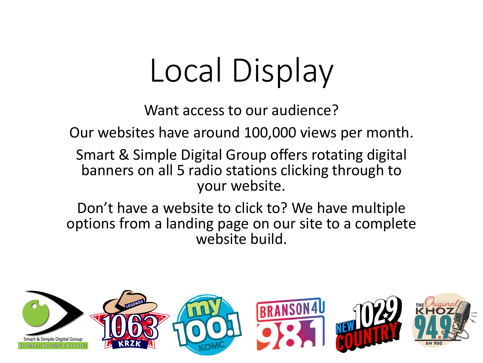## Local Display

Want access to our audience?

Our websites have around 100,000 views per month.

Smart & Simple Digital Group offers rotating digital banners on all 5 radio stations clicking through to your website.

Don't have a website to click to? We have multiple options from a landing page on our site to a complete website build.

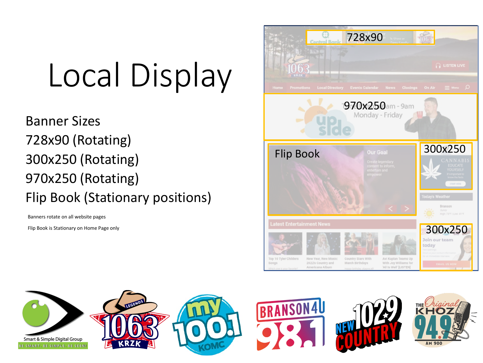## Local Display

Banner Sizes 728x90 (Rotating) 300x250 (Rotating) 970x250 (Rotating) Flip Book (Stationary positions)

Banners rotate on all website pages

Flip Book is Stationary on Home Page only



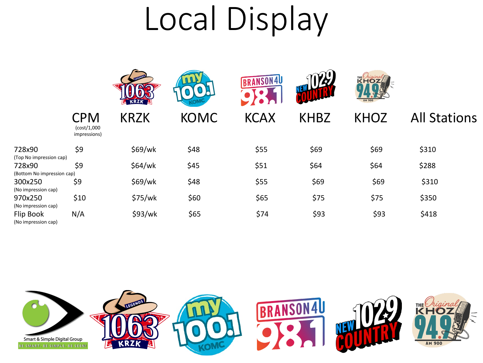## Local Display

|                                                                 |                                           |             |             | <b>BRANSON4U</b> | <b>VEW LIZZ</b> | <b>KHOZ</b><br><b>AM 900</b> |                     |
|-----------------------------------------------------------------|-------------------------------------------|-------------|-------------|------------------|-----------------|------------------------------|---------------------|
|                                                                 | <b>CPM</b><br>(cost/1,000<br>impressions) | <b>KRZK</b> | <b>KOMC</b> | <b>KCAX</b>      | <b>KHBZ</b>     | <b>KHOZ</b>                  | <b>All Stations</b> |
| 728x90                                                          | \$9                                       | \$69/wk     | \$48        | \$55             | \$69            | \$69                         | \$310               |
| (Top No impression cap)<br>728x90<br>(Bottom No impression cap) | \$9                                       | \$64/wk     | \$45        | \$51             | \$64            | \$64                         | \$288               |
| 300x250                                                         | \$9                                       | \$69/wk     | \$48        | \$55             | \$69            | \$69                         | \$310               |
| (No impression cap)<br>970x250<br>(No impression cap)           | \$10                                      | \$75/wk     | \$60        | \$65             | \$75            | \$75                         | \$350               |
| Flip Book<br>(No impression cap)                                | N/A                                       | \$93/wk     | \$65        | \$74             | \$93            | \$93                         | \$418               |